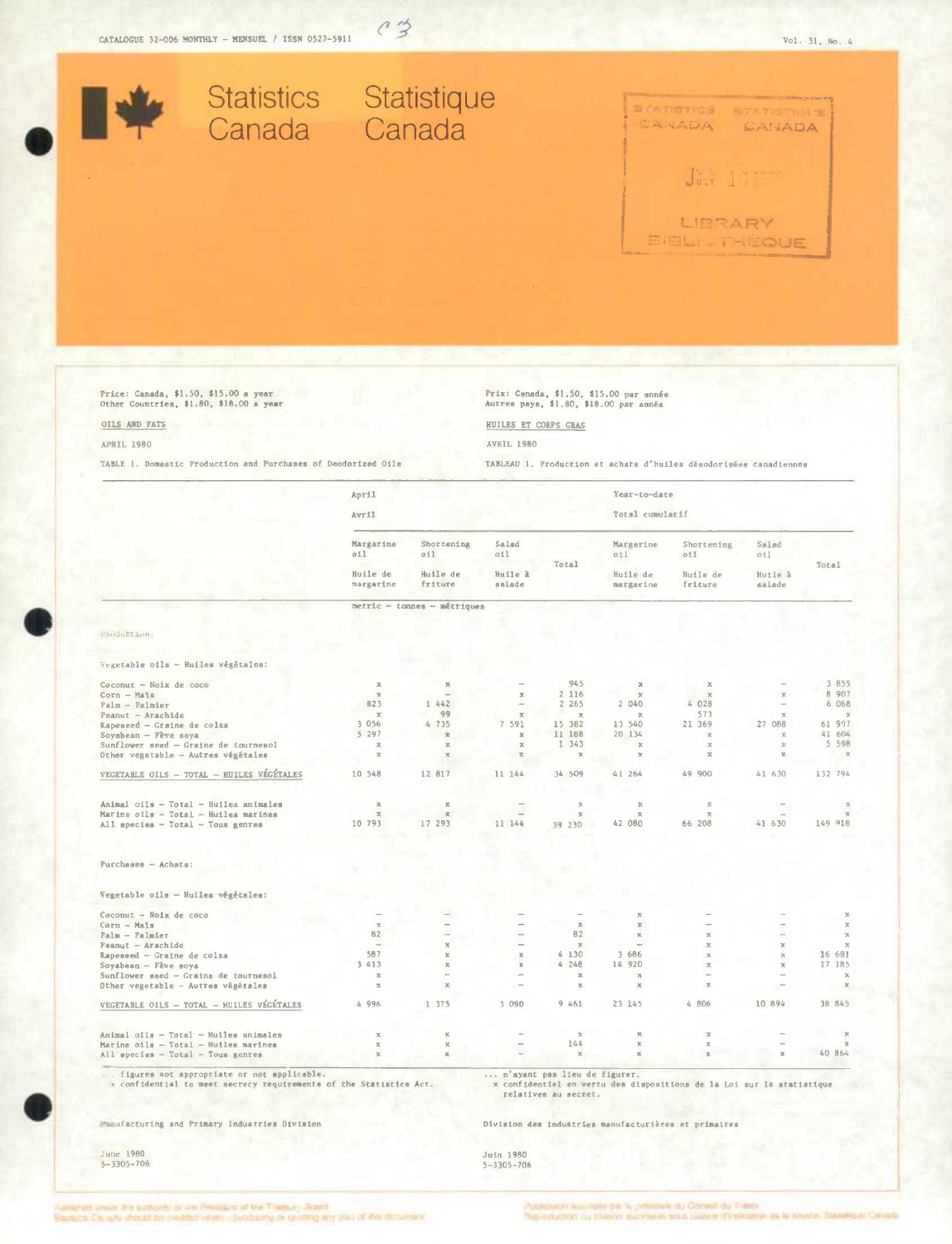

 $c3$ 

Price: Canada, \$1.50, \$15.00 a year<br>Other Countries, \$1.80, \$18.00 a year

## OILS AND FATS

## **APRIL 1980**

TABLE 1. Domestic Production and Purchases of Deodorized Oils

Prix: Cenada, \$1.50, \$15.00 par ennée<br>Autres pays, \$1.80, \$18.00 par année

## HUILES ET CORPS GRAS

**AVRIL 1980** 

TABLEAU 1. Production et achats d'huiles désodorisées canadiennes

|                                           | April                                     |                                          |                                   |                       | Year-to-date                              |                                          |                                          |                            |
|-------------------------------------------|-------------------------------------------|------------------------------------------|-----------------------------------|-----------------------|-------------------------------------------|------------------------------------------|------------------------------------------|----------------------------|
|                                           | Avril                                     |                                          |                                   |                       | Total cumulatif                           |                                          |                                          |                            |
|                                           | Margarine<br>011<br>Huile de<br>margarine | Shortening<br>011<br>Huile de<br>friture | Salad<br>O11<br>Huile à<br>salade | Total                 | Margerine<br>011<br>Huile de<br>margarine | Shortening<br>011<br>Huile de<br>friture | Salad<br>$\circ 11$<br>Huile à<br>salade | Total                      |
|                                           |                                           |                                          |                                   |                       |                                           |                                          |                                          |                            |
|                                           |                                           | metric - tonnes - métriques              |                                   |                       |                                           |                                          |                                          |                            |
| Product font:                             |                                           |                                          |                                   |                       |                                           |                                          |                                          |                            |
| Vegetable oils - Huiles végétales:        |                                           |                                          |                                   |                       |                                           |                                          |                                          |                            |
|                                           |                                           |                                          |                                   |                       |                                           |                                          |                                          |                            |
| $Co\,count - No\,1x$ de $coco$            | $\mathbbm{X}$                             | $\mathbf{x}$                             |                                   | 945                   | х                                         | $\mathbf x$                              |                                          | 3 855                      |
| $Corn - Mals$                             | $\mathbb{X}$<br>823                       | 1 442                                    | $\pi$                             | 2 116<br>2.265        | $\mathcal{R}$<br>2 040                    | $\mathcal{K}$<br>4 028                   | $\mathcal{R}$                            | 8 9 0 7<br>6 068           |
| $Palm - Palmler$                          |                                           | 99                                       |                                   |                       |                                           | 573                                      |                                          |                            |
| Peanut - Arachida                         | $\mathbf{x}$                              |                                          | $\mathbf x$                       | $\propto$             | $\mathcal{H}$                             |                                          | $\mathbf{x}$<br>27 088                   | $\mathbbm{Z}$<br>61 997    |
| Rapeseed - Graine de colza                | 3 0 5 6<br>5297                           | 4735                                     | 7 591                             | 15 382                | 13 540<br>20 134                          | 21 369<br>$\mathcal{R}$                  | $\mathbf{x}$                             | 41 604                     |
| Soyabean - Fève soya                      |                                           | $\mathbbm{E}$                            | $\mathbbm{Z}$                     | 11 188<br>1 343       |                                           |                                          |                                          | 5 5 9 8                    |
| Sunflower seed - Graine de tournesol      | $\mathcal{K}$                             | $\mathbf{x}$                             | $\mathbb{X}$<br>×                 |                       | $\mathcal{H}$<br>$\infty$                 | $\mathcal{K}$<br>$\mathbb{R}$            | $\mathbf x$                              | $\mathbb{X}$               |
| Other vegetable - Autres végétales        | π                                         | $\mathbb{X}$                             |                                   |                       |                                           |                                          |                                          |                            |
| VEGETABLE OILS - TOTAL - HUILES VÉGÉTALES | 10 548                                    | 12 817                                   | 11 144                            | 34 509                | 41 264                                    | 49 900                                   | 41 630                                   | 132 794                    |
| Animal oils - Total - Huilea animales     | $\overline{\nu}_\mathrm{c}$               | $\mathbb{K}$                             |                                   | $\boldsymbol{\times}$ | $\mathbb K$                               | $\propto$                                |                                          | $\mathbb{X}$               |
| Marine oils - Total - Huilea marines      | $\overline{\kappa}$                       | $\mathcal{H}$                            |                                   | $\mathbf x$           | $\mathbb X$                               | $\mathbb{X}$                             |                                          | $\%$                       |
| All species $-$ Total $-$ Tous genras     | 10 793                                    | 17 293                                   | 11 144                            | 39 230                | 42 080                                    | 66 208                                   | 41 630                                   | 149 918                    |
|                                           |                                           |                                          |                                   |                       |                                           |                                          |                                          |                            |
|                                           |                                           |                                          |                                   |                       |                                           |                                          |                                          |                            |
| $Purchanes - Achata:$                     |                                           |                                          |                                   |                       |                                           |                                          |                                          |                            |
| Vegetable oils - Huiles végétales:        |                                           |                                          |                                   |                       |                                           |                                          |                                          |                            |
|                                           |                                           |                                          |                                   |                       |                                           |                                          |                                          |                            |
| Coconut - Noix de coco<br>Corn - Mals     |                                           |                                          |                                   | $\overline{\kappa}$   | $\mathbf x$<br>$\mathbbm{K}$              |                                          |                                          | $\mathbf x$<br>$\mathbb X$ |
| $P$ alm - $P$ almier                      | $\%$<br>82                                | $\overline{\phantom{a}}$                 |                                   | 82                    | $\chi$                                    | $\mathcal{R}$                            |                                          | $\overline{\gg}$           |
| $Pearout - Arachide$                      | $\overline{\phantom{a}}$                  | $\%$                                     |                                   | $\mathbf{x}$          |                                           | $\mathfrak{X}$                           | $\mathbf x$                              | $\mathbb X$                |
| Rapeseed - Graine de colza                | 587                                       | $\mathbf{x}$                             | $\mathbb{R}$                      | 4, 130                | 3 686                                     | $\mathbb R$                              | $\mathbf{x}$                             | 16 681                     |
| Soyabean - Fève soya                      | 3 413                                     | $\mathbf{z}$                             | $\mathbf x$                       | 4248                  | 14 920                                    | $\propto$                                | $\mathbf x$                              | 17 185                     |
| Sunflower eaed - Graina de tournesol      | $\mathcal{H}$                             |                                          |                                   | $\mathbf{x}$          | $\boldsymbol{\times}$                     | ÷                                        |                                          | $\mathbf{x}$               |
| Other vegetable - Autres végétsles        | $\mathcal{H}$                             | $\mathbf x$                              |                                   | $\mathbbm{M}$         | $\propto$                                 | $\mathbb{X}$                             |                                          | $\chi$                     |
| VEGETABLE OILS - TOTAL - HUILES VÉGÉTALES | 4 996                                     | 1 375                                    | 3 0 9 0                           | 9 461                 | 23 145                                    | 4 806                                    | 10 894                                   | 38 845                     |
|                                           |                                           |                                          |                                   |                       |                                           |                                          |                                          |                            |
| Animal oils - Total - Huiles animales     | $\times$                                  | $\mathbb{X}$                             |                                   | $\boldsymbol{\chi}$   | $\mathbf{x}$                              | $\mathbbm{R}$                            |                                          |                            |
| Marine oils - Total - Huiles marines      | x                                         | $\chi$                                   |                                   | 244                   | $\mathbb X$                               | $\boldsymbol{\times}$                    |                                          |                            |
| All species - Total - Tous genres         | x                                         | $\%$                                     |                                   | $\mathbb{X}$          | $\propto$                                 |                                          |                                          | 40 864                     |

Manufacturing and Primary Industries Oivision

June 1980<br> $5-3305-706$ 

Division des industries manufacturières et primaires

Juin 1980<br>5-3305-706